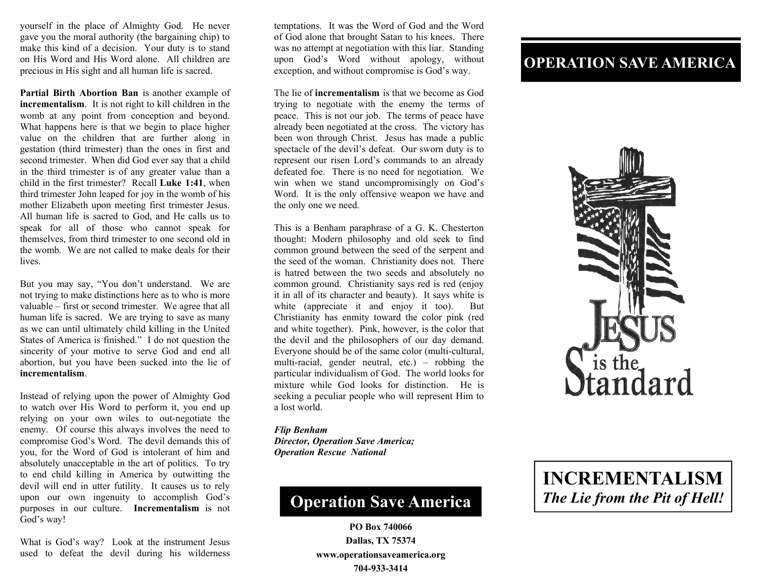yourself in the place of Almighty God. He never gave you the moral authority (the bargaining chip) to make this kind of a decision. Your duty is to stand on His Word and His Word alone. All children are precious in His sight and all human life is sacred.

**Partial Birth Abortion Ban** is another example of **incrementalism**. It is not right to kill children in the womb at any point from conception and beyond. What happens here is that we begin to place higher value on the children that are further along in gestation (third trimester) than the ones in first and second trimester. When did God ever say that a child in the third trimester is of any greater value than a child in the first trimester? Recall **Luke 1:41**, when third trimester John leaped for joy in the womb of his mother Elizabeth upon meeting first trimester Jesus. All human life is sacred to God, and He calls us to speak for all of those who cannot speak for themselves, from third trimester to one second old in the womb. We are not called to make deals for their lives.

But you may say, "You don't understand. We are not trying to make distinctions here as to who is more valuable – first or second trimester. We agree that all human life is sacred. We are trying to save as many as we can until ultimately child killing in the United States of America is finished." I do not question the sincerity of your motive to serve God and end all abortion, but you have been sucked into the lie of **incrementalism**.

Instead of relying upon the power of Almighty God to watch over His Word to perform it, you end up relying on your own wiles to out-negotiate the enemy. Of course this always involves the need to compromise God's Word. The devil demands this of you, for the Word of God is intolerant of him and absolutely unacceptable in the art of politics. To try to end child killing in America by outwitting the devil will end in utter futility. It causes us to rely upon our own ingenuity to accomplish God's purposes in our culture. **Incrementalism** is not God's way!

What is God's way? Look at the instrument Jesus used to defeat the devil during his wilderness

temptations. It was the Word of God and the Word of God alone that brought Satan to his knees. There was no attempt at negotiation with this liar. Standing upon God's Word without apology, without exception, and without compromise is God's way.

The lie of **incrementalism** is that we become as God trying to negotiate with the enemy the terms of peace. This is not our job. The terms of peace have already been negotiated at the cross. The victory has been won through Christ. Jesus has made a public spectacle of the devil's defeat. Our sworn duty is to represent our risen Lord's commands to an already defeated foe. There is no need for negotiation. We win when we stand uncompromisingly on God's Word. It is the only offensive weapon we have and the only one we need.

This is a Benham paraphrase of a G. K. Chesterton thought: Modern philosophy and old seek to find common ground between the seed of the serpent and the seed of the woman. Christianity does not. There is hatred between the two seeds and absolutely no common ground. Christianity says red is red (enjoy it in all of its character and beauty). It says white is white (appreciate it and enjoy it too). But Christianity has enmity toward the color pink (red and white together). Pink, however, is the color that the devil and the philosophers of our day demand. Everyone should be of the same color (multi-cultural, multi-racial, gender neutral, etc.) – robbing the particular individualism of God. The world looks for mixture while God looks for distinction. He is seeking a peculiar people who will represent Him to a lost world.

## *Flip Benham*

*Director, Operation Save America; Operation Rescue National* 

## **Operation Save America**

**PO Box 740066 Dallas, TX 75374 www.operationsaveamerica.org 704-933-3414** 

## **OPERATION SAVE AMERICA**



## **INCREMENTALISM**  *The Lie from the Pit of Hell!*